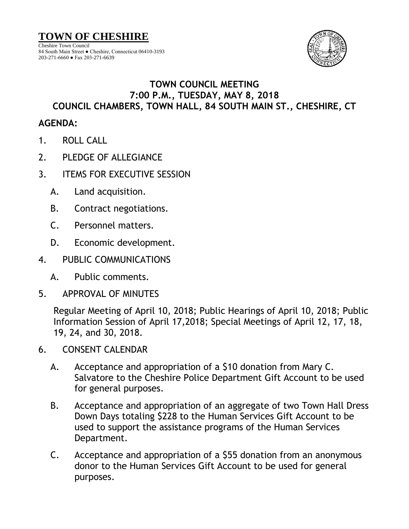

## 84 South Main Street ● Cheshire, Connecticut 06410-3193 203-271-6660 ● Fax 203-271-6639

## **TOWN COUNCIL MEETING 7:00 P.M., TUESDAY, MAY 8, 2018 COUNCIL CHAMBERS, TOWN HALL, 84 SOUTH MAIN ST., CHESHIRE, CT**

## **AGENDA:**

- 1. ROLL CALL
- 2. PLEDGE OF ALLEGIANCE
- 3. ITEMS FOR EXECUTIVE SESSION
	- A. Land acquisition.
	- B. Contract negotiations.
	- C. Personnel matters.
	- D. Economic development.
- 4. PUBLIC COMMUNICATIONS
	- A. Public comments.
- 5. APPROVAL OF MINUTES

Regular Meeting of April 10, 2018; Public Hearings of April 10, 2018; Public Information Session of April 17,2018; Special Meetings of April 12, 17, 18, 19, 24, and 30, 2018.

- 6. CONSENT CALENDAR
	- A. Acceptance and appropriation of a \$10 donation from Mary C. Salvatore to the Cheshire Police Department Gift Account to be used for general purposes.
	- B. Acceptance and appropriation of an aggregate of two Town Hall Dress Down Days totaling \$228 to the Human Services Gift Account to be used to support the assistance programs of the Human Services Department.
	- C. Acceptance and appropriation of a \$55 donation from an anonymous donor to the Human Services Gift Account to be used for general purposes.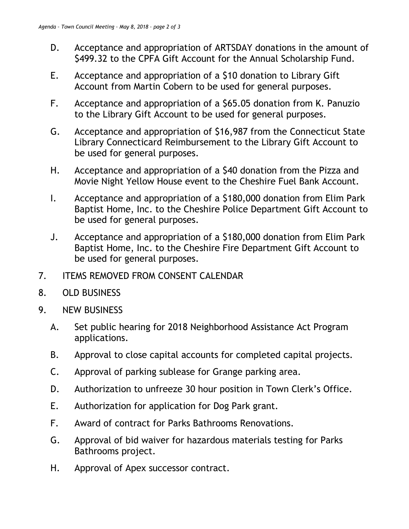- D. Acceptance and appropriation of ARTSDAY donations in the amount of \$499.32 to the CPFA Gift Account for the Annual Scholarship Fund.
- E. Acceptance and appropriation of a \$10 donation to Library Gift Account from Martin Cobern to be used for general purposes.
- F. Acceptance and appropriation of a \$65.05 donation from K. Panuzio to the Library Gift Account to be used for general purposes.
- G. Acceptance and appropriation of \$16,987 from the Connecticut State Library Connecticard Reimbursement to the Library Gift Account to be used for general purposes.
- H. Acceptance and appropriation of a \$40 donation from the Pizza and Movie Night Yellow House event to the Cheshire Fuel Bank Account.
- I. Acceptance and appropriation of a \$180,000 donation from Elim Park Baptist Home, Inc. to the Cheshire Police Department Gift Account to be used for general purposes.
- J. Acceptance and appropriation of a \$180,000 donation from Elim Park Baptist Home, Inc. to the Cheshire Fire Department Gift Account to be used for general purposes.
- 7. ITEMS REMOVED FROM CONSENT CALENDAR
- 8. OLD BUSINESS
- 9. NEW BUSINESS
	- A. Set public hearing for 2018 Neighborhood Assistance Act Program applications.
	- B. Approval to close capital accounts for completed capital projects.
	- C. Approval of parking sublease for Grange parking area.
	- D. Authorization to unfreeze 30 hour position in Town Clerk's Office.
	- E. Authorization for application for Dog Park grant.
	- F. Award of contract for Parks Bathrooms Renovations.
	- G. Approval of bid waiver for hazardous materials testing for Parks Bathrooms project.
	- H. Approval of Apex successor contract.